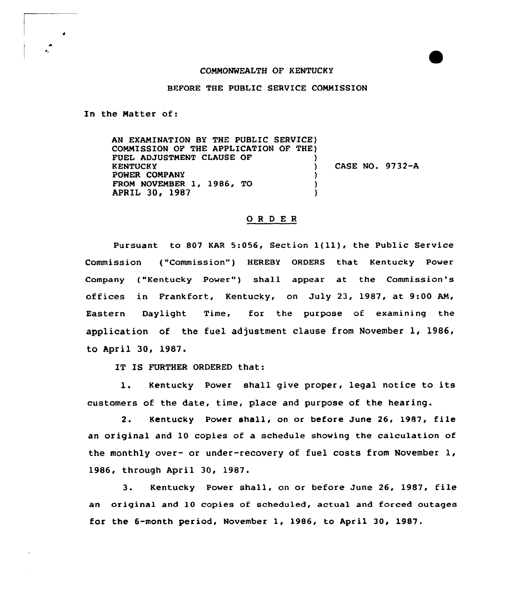## COMMONWEALTH OF KENTUCKY

## BEFORE THE PUBLIC SERVICE COMMISSION

In the Natter of:

AN EXAMINATION BY THE PUBLIC SERVICE) COMMISSION OF THE APPLICATION OF THE) FUEL ADJUSTMENT CLAUSE OF  $)$ <br>KENTUCKY KENTUCKY ) POWER COMPANY (1986, TO TROM NOVEMBER 1, 1986, TO FROM NOVEMBER 1, 1986, TO (1987) APRIL 30, 1987 CASE NO. 9732-A

## ORDER

Pursuant to <sup>807</sup> KAR 5:056, Section l(ll), the Public Service Commission ("Commission") HEREBY ORDERS that Kentucky Power Company ("Kentucky Power") shall appear at the Commission's offices in Frankfort, Kentucky, on July 23, 1987, at 9:00 AM, Eastern Daylight Time, for the purpose of examining the application of the fuel adjustment clause from November 1, 1986, to April 30, 1987.

IT IS FURTHER ORDERED that:

1. Kentucky Power shall give proper, legal notice to its customers of the date, time, place and purpose of the hearing.

2. Kentucky Power shall, on or before June 26, 1987, file an original and 10 copies of a schedule showing the calculation of the monthly over- or under-recovery of fuel costs from November 1, 1986, through April 30, 1987.

3. Kentucky Power shall, on or before June 26, 1987, file an original and 10 copies of scheduled, actual and forced outages for the 6-month period, November 1, 1986, to April 30, 1987.